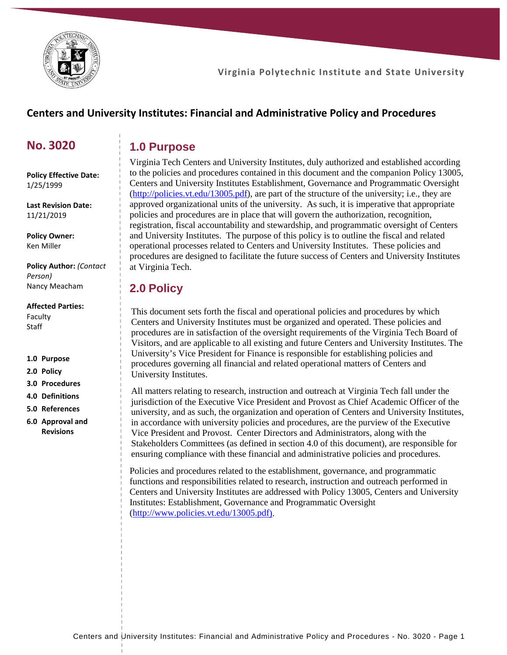

## **Centers and University Institutes: Financial and Administrative Policy and Procedures**

## **No. 3020**

# **1.0 Purpose**

**Policy Effective Date:** 1/25/1999

**Last Revision Date:** 11/21/2019

**Policy Owner:** Ken Miller

**Policy Author:** *(Contact Person)* Nancy Meacham

#### **Affected Parties:**

Faculty **Staff** 

#### **1.0 Purpose**

- **2.0 Policy**
- **3.0 Procedures**
- **4.0 Definitions**
- **5.0 References**
- **6.0 Approval and Revisions**

Virginia Tech Centers and University Institutes, duly authorized and established according to the policies and procedures contained in this document and the companion Policy 13005, Centers and University Institutes Establishment, Governance and Programmatic Oversight [\(http://policies.vt.edu/13005.pdf\)](http://policies.vt.edu/13005.pdf), are part of the structure of the university; i.e., they are approved organizational units of the university. As such, it is imperative that appropriate policies and procedures are in place that will govern the authorization, recognition, registration, fiscal accountability and stewardship, and programmatic oversight of Centers and University Institutes. The purpose of this policy is to outline the fiscal and related operational processes related to Centers and University Institutes. These policies and procedures are designed to facilitate the future success of Centers and University Institutes at Virginia Tech.

## **2.0 Policy**

This document sets forth the fiscal and operational policies and procedures by which Centers and University Institutes must be organized and operated. These policies and procedures are in satisfaction of the oversight requirements of the Virginia Tech Board of Visitors, and are applicable to all existing and future Centers and University Institutes. The University's Vice President for Finance is responsible for establishing policies and procedures governing all financial and related operational matters of Centers and University Institutes.

All matters relating to research, instruction and outreach at Virginia Tech fall under the jurisdiction of the Executive Vice President and Provost as Chief Academic Officer of the university, and as such, the organization and operation of Centers and University Institutes, in accordance with university policies and procedures, are the purview of the Executive Vice President and Provost. Center Directors and Administrators, along with the Stakeholders Committees (as defined in section 4.0 of this document), are responsible for ensuring compliance with these financial and administrative policies and procedures.

Policies and procedures related to the establishment, governance, and programmatic functions and responsibilities related to research, instruction and outreach performed in Centers and University Institutes are addressed with Policy 13005, Centers and University Institutes: Establishment, Governance and Programmatic Oversight [\(http://www.policies.vt.edu/13005.pdf\)](http://www.policies.vt.edu/13005.pdf).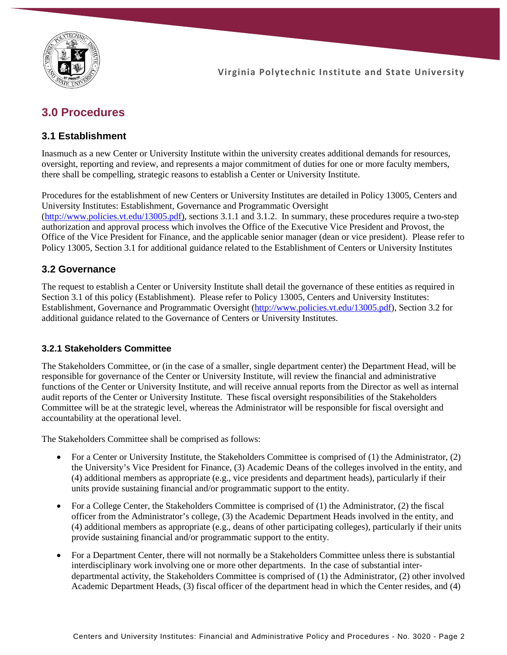

# **3.0 Procedures**

### **3.1 Establishment**

Inasmuch as a new Center or University Institute within the university creates additional demands for resources, oversight, reporting and review, and represents a major commitment of duties for one or more faculty members, there shall be compelling, strategic reasons to establish a Center or University Institute.

Procedures for the establishment of new Centers or University Institutes are detailed in Policy 13005, Centers and University Institutes: Establishment, Governance and Programmatic Oversight [\(http://www.policies.vt.edu/13005.pdf\)](http://www.policies.vt.edu/13005.pdf), sections 3.1.1 and 3.1.2. In summary, these procedures require a two-step authorization and approval process which involves the Office of the Executive Vice President and Provost, the Office of the Vice President for Finance, and the applicable senior manager (dean or vice president). Please refer to Policy 13005, Section 3.1 for additional guidance related to the Establishment of Centers or University Institutes

### **3.2 Governance**

The request to establish a Center or University Institute shall detail the governance of these entities as required in Section 3.1 of this policy (Establishment). Please refer to Policy 13005, Centers and University Institutes: Establishment, Governance and Programmatic Oversight [\(http://www.policies.vt.edu/13005.pdf\)](http://www.policies.vt.edu/13005.pdf), Section 3.2 for additional guidance related to the Governance of Centers or University Institutes.

### **3.2.1 Stakeholders Committee**

The Stakeholders Committee, or (in the case of a smaller, single department center) the Department Head, will be responsible for governance of the Center or University Institute, will review the financial and administrative functions of the Center or University Institute, and will receive annual reports from the Director as well as internal audit reports of the Center or University Institute. These fiscal oversight responsibilities of the Stakeholders Committee will be at the strategic level, whereas the Administrator will be responsible for fiscal oversight and accountability at the operational level.

The Stakeholders Committee shall be comprised as follows:

- For a Center or University Institute, the Stakeholders Committee is comprised of (1) the Administrator, (2) the University's Vice President for Finance, (3) Academic Deans of the colleges involved in the entity, and (4) additional members as appropriate (e.g., vice presidents and department heads), particularly if their units provide sustaining financial and/or programmatic support to the entity.
- For a College Center, the Stakeholders Committee is comprised of (1) the Administrator, (2) the fiscal officer from the Administrator's college, (3) the Academic Department Heads involved in the entity, and (4) additional members as appropriate (e.g., deans of other participating colleges), particularly if their units provide sustaining financial and/or programmatic support to the entity.
- For a Department Center, there will not normally be a Stakeholders Committee unless there is substantial interdisciplinary work involving one or more other departments. In the case of substantial interdepartmental activity, the Stakeholders Committee is comprised of (1) the Administrator, (2) other involved Academic Department Heads, (3) fiscal officer of the department head in which the Center resides, and (4)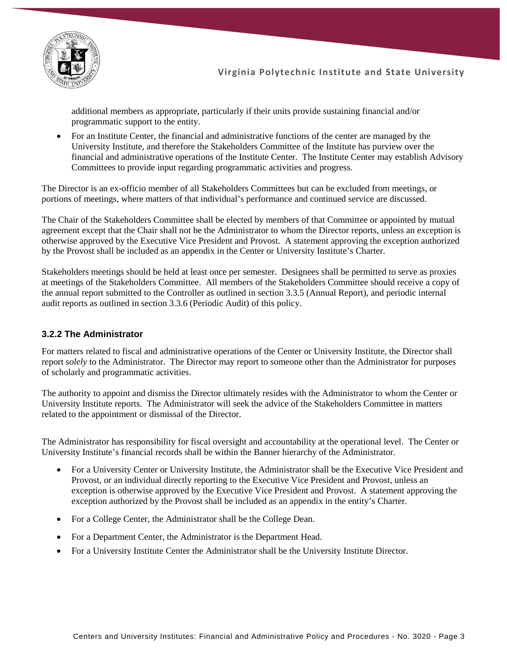

additional members as appropriate, particularly if their units provide sustaining financial and/or programmatic support to the entity.

• For an Institute Center, the financial and administrative functions of the center are managed by the University Institute, and therefore the Stakeholders Committee of the Institute has purview over the financial and administrative operations of the Institute Center. The Institute Center may establish Advisory Committees to provide input regarding programmatic activities and progress.

The Director is an ex-officio member of all Stakeholders Committees but can be excluded from meetings, or portions of meetings, where matters of that individual's performance and continued service are discussed.

The Chair of the Stakeholders Committee shall be elected by members of that Committee or appointed by mutual agreement except that the Chair shall not be the Administrator to whom the Director reports, unless an exception is otherwise approved by the Executive Vice President and Provost. A statement approving the exception authorized by the Provost shall be included as an appendix in the Center or University Institute's Charter.

Stakeholders meetings should be held at least once per semester. Designees shall be permitted to serve as proxies at meetings of the Stakeholders Committee. All members of the Stakeholders Committee should receive a copy of the annual report submitted to the Controller as outlined in section 3.3.5 (Annual Report), and periodic internal audit reports as outlined in section 3.3.6 (Periodic Audit) of this policy.

### **3.2.2 The Administrator**

For matters related to fiscal and administrative operations of the Center or University Institute, the Director shall report *solely* to the Administrator. The Director may report to someone other than the Administrator for purposes of scholarly and programmatic activities.

The authority to appoint and dismiss the Director ultimately resides with the Administrator to whom the Center or University Institute reports. The Administrator will seek the advice of the Stakeholders Committee in matters related to the appointment or dismissal of the Director.

The Administrator has responsibility for fiscal oversight and accountability at the operational level. The Center or University Institute's financial records shall be within the Banner hierarchy of the Administrator.

- For a University Center or University Institute, the Administrator shall be the Executive Vice President and Provost, or an individual directly reporting to the Executive Vice President and Provost, unless an exception is otherwise approved by the Executive Vice President and Provost. A statement approving the exception authorized by the Provost shall be included as an appendix in the entity's Charter.
- For a College Center, the Administrator shall be the College Dean.
- For a Department Center, the Administrator is the Department Head.
- For a University Institute Center the Administrator shall be the University Institute Director.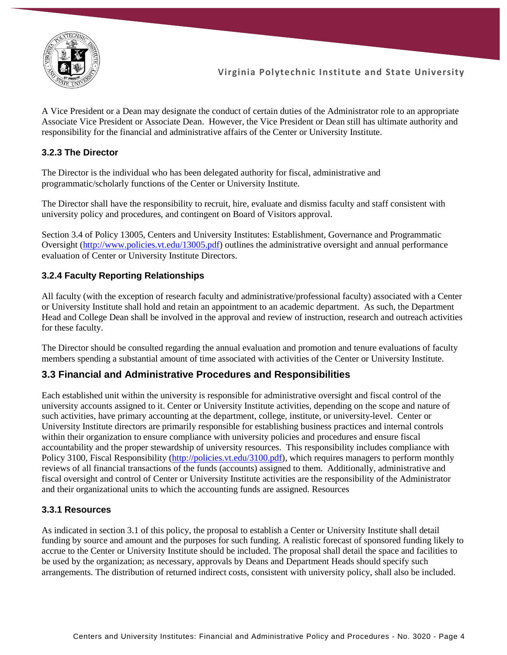

A Vice President or a Dean may designate the conduct of certain duties of the Administrator role to an appropriate Associate Vice President or Associate Dean. However, the Vice President or Dean still has ultimate authority and responsibility for the financial and administrative affairs of the Center or University Institute.

#### **3.2.3 The Director**

The Director is the individual who has been delegated authority for fiscal, administrative and programmatic/scholarly functions of the Center or University Institute.

The Director shall have the responsibility to recruit, hire, evaluate and dismiss faculty and staff consistent with university policy and procedures, and contingent on Board of Visitors approval.

Section 3.4 of Policy 13005, Centers and University Institutes: Establishment, Governance and Programmatic Oversight [\(http://www.policies.vt.edu/13005.pdf\)](http://www.policies.vt.edu/13005.pdf) outlines the administrative oversight and annual performance evaluation of Center or University Institute Directors.

#### **3.2.4 Faculty Reporting Relationships**

All faculty (with the exception of research faculty and administrative/professional faculty) associated with a Center or University Institute shall hold and retain an appointment to an academic department. As such, the Department Head and College Dean shall be involved in the approval and review of instruction, research and outreach activities for these faculty.

The Director should be consulted regarding the annual evaluation and promotion and tenure evaluations of faculty members spending a substantial amount of time associated with activities of the Center or University Institute.

#### **3.3 Financial and Administrative Procedures and Responsibilities**

Each established unit within the university is responsible for administrative oversight and fiscal control of the university accounts assigned to it. Center or University Institute activities, depending on the scope and nature of such activities, have primary accounting at the department, college, institute, or university-level. Center or University Institute directors are primarily responsible for establishing business practices and internal controls within their organization to ensure compliance with university policies and procedures and ensure fiscal accountability and the proper stewardship of university resources. This responsibility includes compliance with Policy 3100, Fiscal Responsibility [\(http://policies.vt.edu/3100.pdf\)](http://policies.vt.edu/3100.pdf), which requires managers to perform monthly reviews of all financial transactions of the funds (accounts) assigned to them. Additionally, administrative and fiscal oversight and control of Center or University Institute activities are the responsibility of the Administrator and their organizational units to which the accounting funds are assigned. Resources

#### **3.3.1 Resources**

As indicated in section 3.1 of this policy, the proposal to establish a Center or University Institute shall detail funding by source and amount and the purposes for such funding. A realistic forecast of sponsored funding likely to accrue to the Center or University Institute should be included. The proposal shall detail the space and facilities to be used by the organization; as necessary, approvals by Deans and Department Heads should specify such arrangements. The distribution of returned indirect costs, consistent with university policy, shall also be included.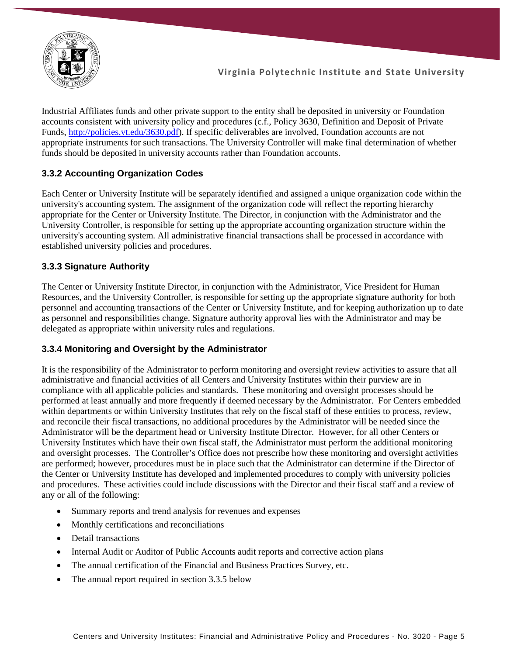

Industrial Affiliates funds and other private support to the entity shall be deposited in university or Foundation accounts consistent with university policy and procedures (c.f., Policy 3630, Definition and Deposit of Private Funds, [http://policies.vt.edu/3630.pdf\)](http://policies.vt.edu/3630.pdf). If specific deliverables are involved, Foundation accounts are not appropriate instruments for such transactions. The University Controller will make final determination of whether funds should be deposited in university accounts rather than Foundation accounts.

### **3.3.2 Accounting Organization Codes**

Each Center or University Institute will be separately identified and assigned a unique organization code within the university's accounting system. The assignment of the organization code will reflect the reporting hierarchy appropriate for the Center or University Institute. The Director, in conjunction with the Administrator and the University Controller, is responsible for setting up the appropriate accounting organization structure within the university's accounting system. All administrative financial transactions shall be processed in accordance with established university policies and procedures.

### **3.3.3 Signature Authority**

The Center or University Institute Director, in conjunction with the Administrator, Vice President for Human Resources, and the University Controller, is responsible for setting up the appropriate signature authority for both personnel and accounting transactions of the Center or University Institute, and for keeping authorization up to date as personnel and responsibilities change. Signature authority approval lies with the Administrator and may be delegated as appropriate within university rules and regulations.

### **3.3.4 Monitoring and Oversight by the Administrator**

It is the responsibility of the Administrator to perform monitoring and oversight review activities to assure that all administrative and financial activities of all Centers and University Institutes within their purview are in compliance with all applicable policies and standards. These monitoring and oversight processes should be performed at least annually and more frequently if deemed necessary by the Administrator. For Centers embedded within departments or within University Institutes that rely on the fiscal staff of these entities to process, review, and reconcile their fiscal transactions, no additional procedures by the Administrator will be needed since the Administrator will be the department head or University Institute Director. However, for all other Centers or University Institutes which have their own fiscal staff, the Administrator must perform the additional monitoring and oversight processes. The Controller's Office does not prescribe how these monitoring and oversight activities are performed; however, procedures must be in place such that the Administrator can determine if the Director of the Center or University Institute has developed and implemented procedures to comply with university policies and procedures. These activities could include discussions with the Director and their fiscal staff and a review of any or all of the following:

- Summary reports and trend analysis for revenues and expenses
- Monthly certifications and reconciliations
- Detail transactions
- Internal Audit or Auditor of Public Accounts audit reports and corrective action plans
- The annual certification of the Financial and Business Practices Survey, etc.
- The annual report required in section 3.3.5 below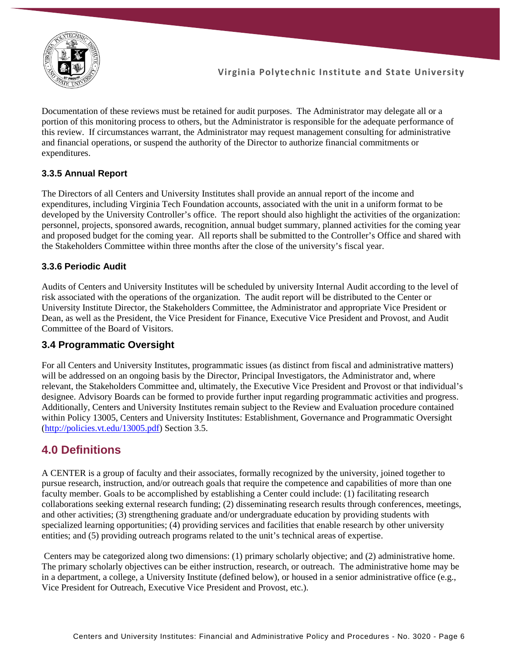

Documentation of these reviews must be retained for audit purposes. The Administrator may delegate all or a portion of this monitoring process to others, but the Administrator is responsible for the adequate performance of this review. If circumstances warrant, the Administrator may request management consulting for administrative and financial operations, or suspend the authority of the Director to authorize financial commitments or expenditures.

### **3.3.5 Annual Report**

The Directors of all Centers and University Institutes shall provide an annual report of the income and expenditures, including Virginia Tech Foundation accounts, associated with the unit in a uniform format to be developed by the University Controller's office. The report should also highlight the activities of the organization: personnel, projects, sponsored awards, recognition, annual budget summary, planned activities for the coming year and proposed budget for the coming year. All reports shall be submitted to the Controller's Office and shared with the Stakeholders Committee within three months after the close of the university's fiscal year.

### **3.3.6 Periodic Audit**

Audits of Centers and University Institutes will be scheduled by university Internal Audit according to the level of risk associated with the operations of the organization. The audit report will be distributed to the Center or University Institute Director, the Stakeholders Committee, the Administrator and appropriate Vice President or Dean, as well as the President, the Vice President for Finance, Executive Vice President and Provost, and Audit Committee of the Board of Visitors.

### **3.4 Programmatic Oversight**

For all Centers and University Institutes, programmatic issues (as distinct from fiscal and administrative matters) will be addressed on an ongoing basis by the Director, Principal Investigators, the Administrator and, where relevant, the Stakeholders Committee and, ultimately, the Executive Vice President and Provost or that individual's designee. Advisory Boards can be formed to provide further input regarding programmatic activities and progress. Additionally, Centers and University Institutes remain subject to the Review and Evaluation procedure contained within Policy 13005, Centers and University Institutes: Establishment, Governance and Programmatic Oversight [\(http://policies.vt.edu/13005.pdf\)](http://policies.vt.edu/13005.pdf) Section 3.5.

## **4.0 Definitions**

A CENTER is a group of faculty and their associates, formally recognized by the university, joined together to pursue research, instruction, and/or outreach goals that require the competence and capabilities of more than one faculty member. Goals to be accomplished by establishing a Center could include: (1) facilitating research collaborations seeking external research funding; (2) disseminating research results through conferences, meetings, and other activities; (3) strengthening graduate and/or undergraduate education by providing students with specialized learning opportunities; (4) providing services and facilities that enable research by other university entities; and (5) providing outreach programs related to the unit's technical areas of expertise.

Centers may be categorized along two dimensions: (1) primary scholarly objective; and (2) administrative home. The primary scholarly objectives can be either instruction, research, or outreach. The administrative home may be in a department, a college, a University Institute (defined below), or housed in a senior administrative office (e.g., Vice President for Outreach, Executive Vice President and Provost, etc.).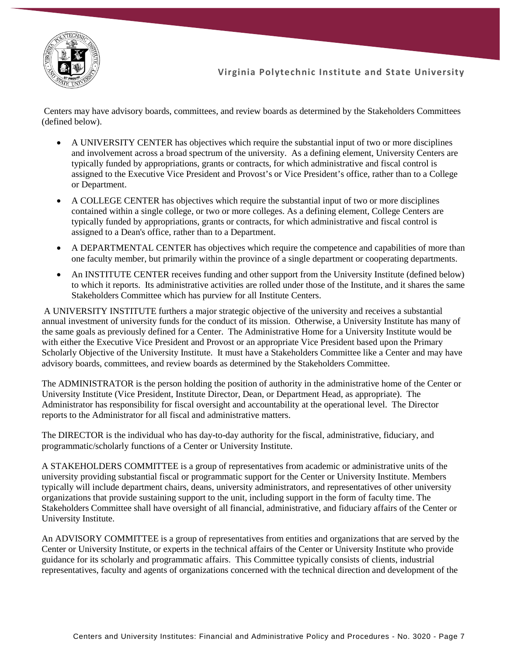

Centers may have advisory boards, committees, and review boards as determined by the Stakeholders Committees (defined below).

- A UNIVERSITY CENTER has objectives which require the substantial input of two or more disciplines and involvement across a broad spectrum of the university. As a defining element, University Centers are typically funded by appropriations, grants or contracts, for which administrative and fiscal control is assigned to the Executive Vice President and Provost's or Vice President's office, rather than to a College or Department.
- A COLLEGE CENTER has objectives which require the substantial input of two or more disciplines contained within a single college, or two or more colleges. As a defining element, College Centers are typically funded by appropriations, grants or contracts, for which administrative and fiscal control is assigned to a Dean's office, rather than to a Department.
- A DEPARTMENTAL CENTER has objectives which require the competence and capabilities of more than one faculty member, but primarily within the province of a single department or cooperating departments.
- An INSTITUTE CENTER receives funding and other support from the University Institute (defined below) to which it reports. Its administrative activities are rolled under those of the Institute, and it shares the same Stakeholders Committee which has purview for all Institute Centers.

A UNIVERSITY INSTITUTE furthers a major strategic objective of the university and receives a substantial annual investment of university funds for the conduct of its mission. Otherwise, a University Institute has many of the same goals as previously defined for a Center. The Administrative Home for a University Institute would be with either the Executive Vice President and Provost or an appropriate Vice President based upon the Primary Scholarly Objective of the University Institute. It must have a Stakeholders Committee like a Center and may have advisory boards, committees, and review boards as determined by the Stakeholders Committee.

The ADMINISTRATOR is the person holding the position of authority in the administrative home of the Center or University Institute (Vice President, Institute Director, Dean, or Department Head, as appropriate). The Administrator has responsibility for fiscal oversight and accountability at the operational level. The Director reports to the Administrator for all fiscal and administrative matters.

The DIRECTOR is the individual who has day-to-day authority for the fiscal, administrative, fiduciary, and programmatic/scholarly functions of a Center or University Institute.

A STAKEHOLDERS COMMITTEE is a group of representatives from academic or administrative units of the university providing substantial fiscal or programmatic support for the Center or University Institute. Members typically will include department chairs, deans, university administrators, and representatives of other university organizations that provide sustaining support to the unit, including support in the form of faculty time. The Stakeholders Committee shall have oversight of all financial, administrative, and fiduciary affairs of the Center or University Institute.

An ADVISORY COMMITTEE is a group of representatives from entities and organizations that are served by the Center or University Institute, or experts in the technical affairs of the Center or University Institute who provide guidance for its scholarly and programmatic affairs. This Committee typically consists of clients, industrial representatives, faculty and agents of organizations concerned with the technical direction and development of the